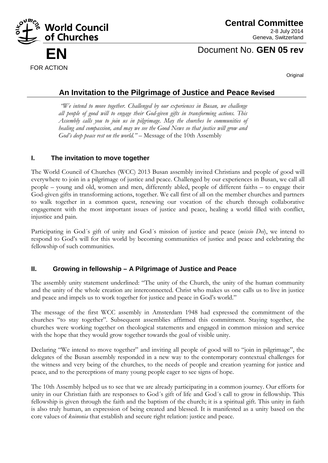

# **EN** Document No. **GEN 05 rev**

**Original** 

# **An Invitation to the Pilgrimage of Justice and Peace Revised**

*"We intend to move together. Challenged by our experiences in Busan, we challenge all people of good will to engage their God-given gifts in transforming actions. This Assembly calls you to join us in pilgrimage. May the churches be communities of healing and compassion, and may we see the Good News so that justice will grow and God's deep peace rest on the world." –* Message of the 10th Assembly

### **I. The invitation to move together**

The World Council of Churches (WCC) 2013 Busan assembly invited Christians and people of good will everywhere to join in a pilgrimage of justice and peace. Challenged by our experiences in Busan, we call all people – young and old, women and men, differently abled, people of different faiths – to engage their God-given gifts in transforming actions, together. We call first of all on the member churches and partners to walk together in a common quest, renewing our vocation of the church through collaborative engagement with the most important issues of justice and peace, healing a world filled with conflict, injustice and pain.

Participating in God´s gift of unity and God´s mission of justice and peace (*missio Dei*), we intend to respond to God's will for this world by becoming communities of justice and peace and celebrating the fellowship of such communities.

# **II. Growing in fellowship – A Pilgrimage of Justice and Peace**

The assembly unity statement underlined: "The unity of the Church, the unity of the human community and the unity of the whole creation are interconnected. Christ who makes us one calls us to live in justice and peace and impels us to work together for justice and peace in God's world."

The message of the first WCC assembly in Amsterdam 1948 had expressed the commitment of the churches "to stay together". Subsequent assemblies affirmed this commitment. Staying together, the churches were working together on theological statements and engaged in common mission and service with the hope that they would grow together towards the goal of visible unity.

Declaring "We intend to move together" and inviting all people of good will to "join in pilgrimage", the delegates of the Busan assembly responded in a new way to the contemporary contextual challenges for the witness and very being of the churches, to the needs of people and creation yearning for justice and peace, and to the perceptions of many young people eager to see signs of hope.

The 10th Assembly helped us to see that we are already participating in a common journey. Our efforts for unity in our Christian faith are responses to God´s gift of life and God´s call to grow in fellowship. This fellowship is given through the faith and the baptism of the church; it is a spiritual gift. This unity in faith is also truly human, an expression of being created and blessed. It is manifested as a unity based on the core values of *koinonia* that establish and secure right relation: justice and peace.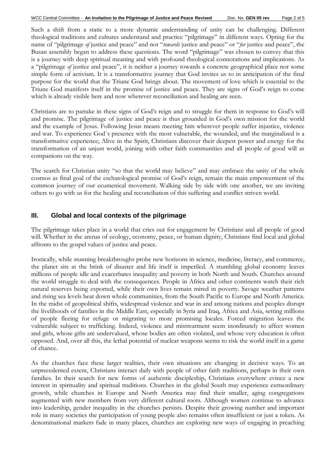Such a shift from a static to a more dynamic understanding of unity can be challenging. Different theological traditions and cultures understand and practice "pilgrimage" in different ways. Opting for the name of "pilgrimage *of* justice and peace" and not "*towards* justice and peace" or "*for* justice and peace", the Busan assembly began to address these questions. The word "pilgrimage" was chosen to convey that this is a journey with deep spiritual meaning and with profound theological connotations and implications. As a "pilgrimage *of* justice and peace", it is neither a journey towards a concrete geographical place nor some simple form of activism. It is a transformative journey that God invites us to in anticipation of the final purpose for the world that the Triune God brings about. The movement of love which is essential to the Triune God manifests itself in the promise of justice and peace. They are signs of God's reign to come which is already visible here and now wherever reconciliation and healing are seen.

Christians are to partake in these signs of God's reign and to struggle for them in response to God's will and promise. The pilgrimage of justice and peace is thus grounded in God's own mission for the world and the example of Jesus. Following Jesus means meeting him wherever people suffer injustice, violence and war. To experience God´s presence with the most vulnerable, the wounded, and the marginalized is a transformative experience; Alive in the Spirit, Christians discover their deepest power and energy for the transformation of an unjust world, joining with other faith communities and all people of good will as companions on the way.

The search for Christian unity "so that the world may believe" and may embrace the unity of the whole cosmos as final goal of the eschatological promise of God's reign, remain the main empowerment of the common journey of our ecumenical movement. Walking side by side with one another, we are inviting others to go with us for the healing and reconciliation of this suffering and conflict striven world.

#### **III. Global and local contexts of the pilgrimage**

The pilgrimage takes place in a world that cries out for engagement by Christians and all people of good will. Whether in the arenas of ecology, economy, peace, or human dignity, Christians find local and global affronts to the gospel values of justice and peace.

Ironically, while stunning breakthroughs probe new horizons in science, medicine, literacy, and commerce, the planet sits at the brink of disaster and life itself is imperiled. A stumbling global economy leaves millions of people idle and exacerbates inequality and poverty in both North and South. Churches around the world struggle to deal with the consequences. People in Africa and other continents watch their rich natural reserves being exported, while their own lives remain mired in poverty. Savage weather patterns and rising sea levels beat down whole communities, from the South Pacific to Europe and North America. In the midst of geopolitical shifts, widespread violence and war in and among nations and peoples disrupt the livelihoods of families in the Middle East, especially in Syria and Iraq, Africa and Asia, setting millions of people fleeing for refuge or migrating to more promising locales. Forced migration leaves the vulnerable subject to trafficking. Indeed, violence and mistreatment seem inordinately to affect women and girls, whose gifts are undervalued, whose bodies are often violated, and whose very education is often opposed. And, over all this, the lethal potential of nuclear weapons seems to risk the world itself in a game of chance.

As the churches face these larger realities, their own situations are changing in decisive ways. To an unprecedented extent, Christians interact daily with people of other faith traditions, perhaps in their own families. In their search for new forms of authentic discipleship, Christians everywhere evince a new interest in spirituality and spiritual traditions. Churches in the global South may experience extraordinary growth, while churches in Europe and North America may find their smaller, aging congregations augmented with new members from very different cultural roots. Although women continue to advance into leadership, gender inequality in the churches persists. Despite their growing number and important role in many societies the participation of young people also remains often insufficient or just a token. As denominational markers fade in many places, churches are exploring new ways of engaging in preaching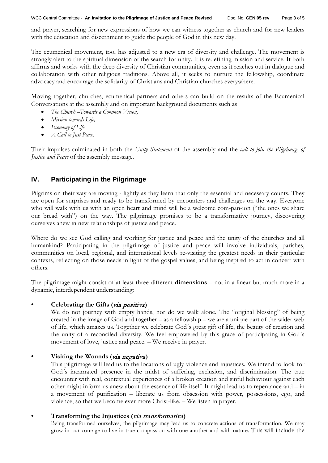and prayer, searching for new expressions of how we can witness together as church and for new leaders with the education and discernment to guide the people of God in this new day.

The ecumenical movement, too, has adjusted to a new era of diversity and challenge. The movement is strongly alert to the spiritual dimension of the search for unity. It is redefining mission and service. It both affirms and works with the deep diversity of Christian communities, even as it reaches out in dialogue and collaboration with other religious traditions. Above all, it seeks to nurture the fellowship, coordinate advocacy and encourage the solidarity of Christians and Christian churches everywhere.

Moving together, churches, ecumenical partners and others can build on the results of the Ecumenical Conversations at the assembly and on important background documents such as

- *The Church –Towards a Common Vision,*
- *Mission towards Life,*
- *Economy of Life*
- *A Call to Just Peace.*

Their impulses culminated in both the *Unity Statement* of the assembly and the *call to join the Pilgrimage of Justice and Peace* of the assembly message.

#### **IV. Participating in the Pilgrimage**

Pilgrims on their way are moving - lightly as they learn that only the essential and necessary counts. They are open for surprises and ready to be transformed by encounters and challenges on the way. Everyone who will walk with us with an open heart and mind will be a welcome com-pan-ion ("the ones we share our bread with") on the way. The pilgrimage promises to be a transformative journey, discovering ourselves anew in new relationships of justice and peace.

Where do we see God calling and working for justice and peace and the unity of the churches and all humankind? Participating in the pilgrimage of justice and peace will involve individuals, parishes, communities on local, regional, and international levels re-visiting the greatest needs in their particular contexts, reflecting on those needs in light of the gospel values, and being inspired to act in concert with others.

The pilgrimage might consist of at least three different **dimensions** – not in a linear but much more in a dynamic, interdependent understanding:

#### **• Celebrating the Gifts (**via positiva**)**

We do not journey with empty hands, nor do we walk alone. The "original blessing" of being created in the image of God and together – as a fellowship – we are a unique part of the wider web of life, which amazes us. Together we celebrate God´s great gift of life, the beauty of creation and the unity of a reconciled diversity. We feel empowered by this grace of participating in God´s movement of love, justice and peace. – We receive in prayer.

#### **• Visiting the Wounds (**via negativa**)**

This pilgrimage will lead us to the locations of ugly violence and injustices. We intend to look for God´s incarnated presence in the midst of suffering, exclusion, and discrimination. The true encounter with real, contextual experiences of a broken creation and sinful behaviour against each other might inform us anew about the essence of life itself. It might lead us to repentance and – in a movement of purification – liberate us from obsession with power, possessions, ego, and violence, so that we become ever more Christ-like. – We listen in prayer.

#### **• Transforming the Injustices (**via transformativa**)**

Being transformed ourselves, the pilgrimage may lead us to concrete actions of transformation. We may grow in our courage to live in true compassion with one another and with nature. This will include the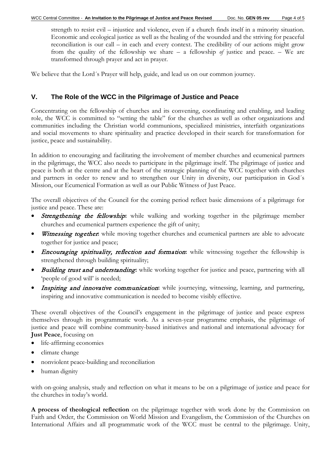strength to resist evil – injustice and violence, even if a church finds itself in a minority situation. Economic and ecological justice as well as the healing of the wounded and the striving for peaceful reconciliation is our call – in each and every context. The credibility of our actions might grow from the quality of the fellowship we share – a fellowship *of* justice and peace. – We are transformed through prayer and act in prayer.

We believe that the Lord´s Prayer will help, guide, and lead us on our common journey.

# **V. The Role of the WCC in the Pilgrimage of Justice and Peace**

Concentrating on the fellowship of churches and its convening, coordinating and enabling, and leading role, the WCC is committed to "setting the table" for the churches as well as other organizations and communities including the Christian world communions, specialized ministries, interfaith organizations and social movements to share spirituality and practice developed in their search for transformation for justice, peace and sustainability.

In addition to encouraging and facilitating the involvement of member churches and ecumenical partners in the pilgrimage, the WCC also needs to participate in the pilgrimage itself. The pilgrimage of justice and peace is both at the centre and at the heart of the strategic planning of the WCC together with churches and partners in order to renew and to strengthen our Unity in diversity, our participation in God´s Mission, our Ecumenical Formation as well as our Public Witness of Just Peace.

The overall objectives of the Council for the coming period reflect basic dimensions of a pilgrimage for justice and peace. These are:

- Strengthening the fellowship**:** while walking and working together in the pilgrimage member churches and ecumenical partners experience the gift of unity;
- Witnessing together: while moving together churches and ecumenical partners are able to advocate together for justice and peace;
- Encouraging spirituality, reflection and formation**:** while witnessing together the fellowship is strengthened through building spirituality;
- Building trust and understanding**:** while working together for justice and peace, partnering with all 'people of good will' is needed;
- Inspiring and innovative communication**:** while journeying, witnessing, learning, and partnering, inspiring and innovative communication is needed to become visibly effective.

These overall objectives of the Council's engagement in the pilgrimage of justice and peace express themselves through its programmatic work. As a seven-year programme emphasis, the pilgrimage of justice and peace will combine community-based initiatives and national and international advocacy for **Just Peace**, focusing on

- life-affirming economies
- climate change
- nonviolent peace-building and reconciliation
- human dignity

with on-going analysis, study and reflection on what it means to be on a pilgrimage of justice and peace for the churches in today's world.

**A process of theological reflection** on the pilgrimage together with work done by the Commission on Faith and Order, the Commission on World Mission and Evangelism, the Commission of the Churches on International Affairs and all programmatic work of the WCC must be central to the pilgrimage. Unity,